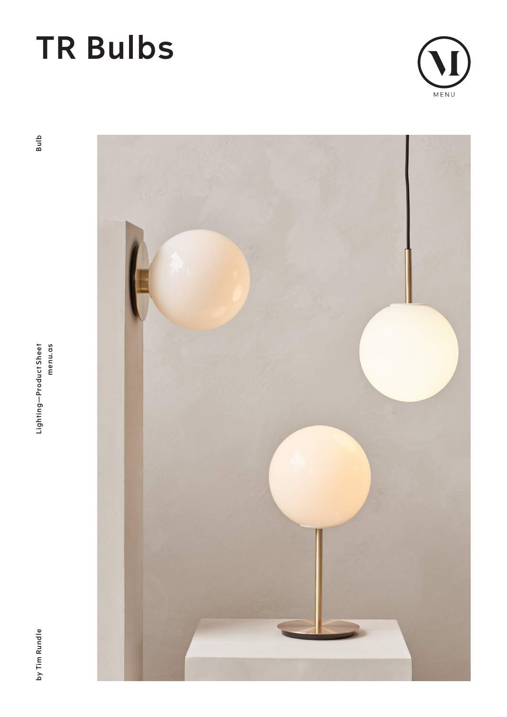# **TR Bulbs**





by Tim Rundle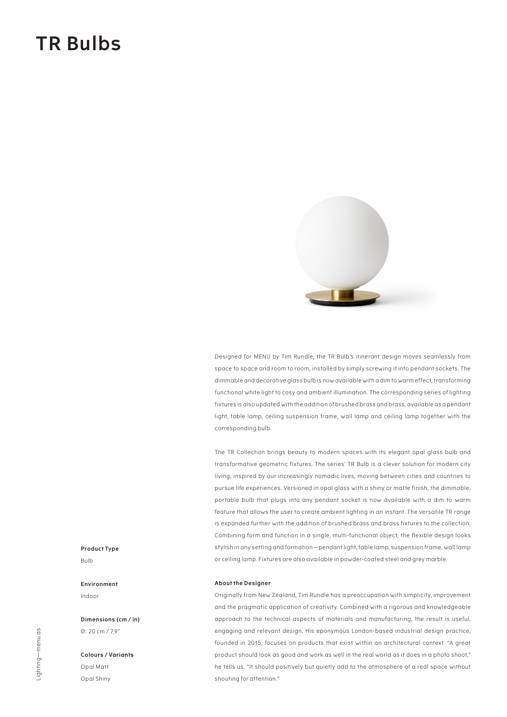# **TR Bulbs**



Designed for MENU by Tim Rundle, the TR Bulb's itinerant design moves seamlessly from space to space and room to room, installed by simply screwing it into pendant sockets. The dimmable and decorative glass bulb is now available with a dim to warm effect, transforming functional white light to cosy and ambient illumination. The corresponding series of lighting fixtures is also updated with the addition of brushed brass and brass, available as a pendant light, table lamp, ceiling suspension frame, wall lamp and ceiling lamp together with the corresponding bulb.

The TR Collection brings beauty to modern spaces with its elegant opal glass bulb and transformative geometric fixtures. The series' TR Bulb is a clever solution for modern city living, inspired by our increasingly nomadic lives, moving between cities and countries to pursue life experiences. Versioned in opal glass with a shiny or matte finish, the dimmable, portable bulb that plugs into any pendant socket is now available with a dim to warm feature that allows the user to create ambient lighting in an instant. The versatile TR range is expanded further with the addition of brushed brass and brass fixtures to the collection. Combining form and function in a single, multi-functional object, the flexible design looks stylish in any setting and formation—pendant light, table lamp, suspension frame, wall lamp or ceiling lamp. Fixtures are also available in powder-coated steel and grey marble.

### **Product Type** Bulb

**Environment**

Indoor

**Dimensions (cm / in)** Ø: 20 cm / 7,9"

# **Colours / Variants** Opal Matt Opal Shiny

### **About the Designer**

Originally from New Zealand, Tim Rundle has a preoccupation with simplicity, improvement and the pragmatic application of creativity. Combined with a rigorous and knowledgeable approach to the technical aspects of materials and manufacturing, the result is useful, engaging and relevant design. His eponymous London-based industrial design practice, founded in 2015, focuses on products that exist within an architectural context. "A great product should look as good and work as well in the real world as it does in a photo shoot," he tells us. "It should positively but quietly add to the atmosphere of a real space without shouting for attention."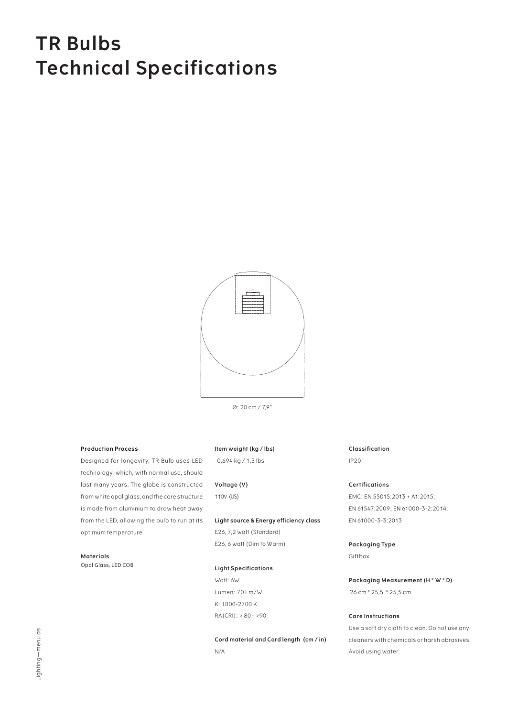# **TR Bulbs Technical Specifications**

Ø: 20 cm / 7,9"

#### **Production Process**

Designed for longevity, TR Bulb uses LED technology, which, with normal use, should last many years. The globe is constructed from white opal glass, and the core structure is made from aluminium to draw heat away from the LED, allowing the bulb to run at its optimum temperature.

**Materials** Opal Glass, LED COB **Item weight (kg / lbs)** 0,694 kg / 1,5 lbs

## **Voltage (V)** 110V (US)

**Light source & Energy efficiency class** E26, 7,2 watt (Standard)

E26, 6 watt (Dim to Warm)

## **Light Specifications**

Watt: 6W Lumen: 70 Lm/W K: 1800-2700 K  $RA(CRI): 80 - 90$ 

**Cord material and Cord length (cm / in)** N/A

**Classification** IP20

#### **Certifications**

EMC: EN 55015:2013 + A1:2015; EN 61547:2009; EN 61000-3-2:2014; EN 61000-3-3:2013

**Packaging Type** Giftbox

**Packaging Measurement (H \* W \* D)** 26 cm \* 25,5 \* 25,5 cm

#### **Care Instructions**

Use a soft dry cloth to clean. Do not use any cleaners with chemicals or harsh abrasives. Avoid using water.